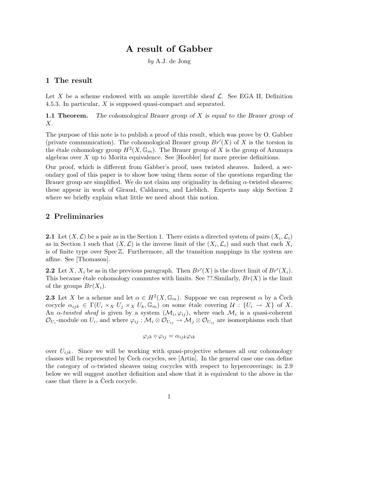# A result of Gabber

by A.J. de Jong

## 1 The result

Let X be a scheme endowed with an ample invertible sheaf  $\mathcal{L}$ . See EGA II, Definition 4.5.3. In particular, X is supposed quasi-compact and separated.

**1.1 Theorem.** The cohomological Brauer group of  $X$  is equal to the Brauer group of X.

The purpose of this note is to publish a proof of this result, which was prove by O. Gabber (private communication). The cohomological Brauer group  $Br'(X)$  of X is the torsion in the étale cohomology group  $H^2(X, \mathbb{G}_m)$ . The Brauer group of X is the group of Azumaya algebras over  $X$  up to Morita equivalence. See [Hoobler] for more precise definitions.

Our proof, which is different from Gabber's proof, uses twisted sheaves. Indeed, a secondary goal of this paper is to show how using them some of the questions regarding the Brauer group are simplified. We do not claim any originality in defining  $\alpha$ -twisted sheaves; these appear in work of Giraud, Caldararu, and Lieblich. Experts may skip Section 2 where we briefly explain what little we need about this notion.

### 2 Preliminaries

**2.1** Let  $(X, \mathcal{L})$  be a pair as in the Section 1. There exists a directed system of pairs  $(X_i, \mathcal{L}_i)$ as in Section 1 such that  $(X, \mathcal{L})$  is the inverse limit of the  $(X_i, \mathcal{L}_i)$  and such that each  $X_i$ is of finite type over  $Spec \mathbb{Z}$ . Furthermore, all the transition mappings in the system are affine. See [Thomason].

**2.2** Let X,  $X_i$  be as in the previous paragraph. Then  $Br'(X)$  is the direct limit of  $Br'(X_i)$ . This because étale cohomology commutes with limits. See ??.Similarly,  $Br(X)$  is the limit of the groups  $Br(X_i)$ .

**2.3** Let X be a scheme and let  $\alpha \in H^2(X, \mathbb{G}_m)$ . Suppose we can represent  $\alpha$  by a Čech cocycle  $\alpha_{ijk} \in \Gamma(U_i \times_X U_j \times_X U_k, \mathbb{G}_m)$  on some étale covering  $\mathcal{U}: \{U_i \to X\}$  of X. An  $\alpha$ -twisted sheaf is given by a system  $(\mathcal{M}_i, \varphi_{ij})$ , where each  $\mathcal{M}_i$  is a quasi-coherent  $\mathcal{O}_{U_i}$ -module on  $U_i$ , and where  $\varphi_{ij}: \mathcal{M}_i \otimes \mathcal{O}_{U_{ij}} \to \mathcal{M}_j \otimes \mathcal{O}_{U_{ij}}$  are isomorphisms such that

$$
\varphi_{jk} \circ \varphi_{ij} = \alpha_{ijk} \varphi_{ik}
$$

over  $U_{ijk}$ . Since we will be working with quasi-projective schemes all our cohomology classes will be represented by Cech cocycles, see  $[Artin]$ . In the general case one can define the category of  $\alpha$ -twisted sheaves using cocycles with respect to hypercoverings; in 2.9 below we will suggest another definition and show that it is equivalent to the above in the case that there is a Čech cocycle.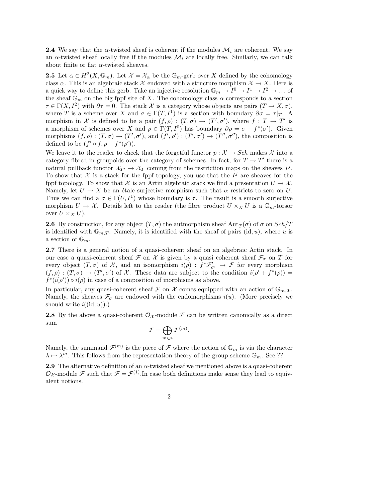**2.4** We say that the  $\alpha$ -twisted sheaf is coherent if the modules  $\mathcal{M}_i$  are coherent. We say an  $\alpha$ -twisted sheaf locally free if the modules  $\mathcal{M}_i$  are locally free. Similarly, we can talk about finite or flat  $\alpha$ -twisted sheaves.

**2.5** Let  $\alpha \in H^2(X, \mathbb{G}_m)$ . Let  $\mathcal{X} = \mathcal{X}_\alpha$  be the  $\mathbb{G}_m$ -gerb over X defined by the cohomology class  $\alpha$ . This is an algebraic stack X endowed with a structure morphism  $\mathcal{X} \to X$ . Here is a quick way to define this gerb. Take an injective resolution  $\mathbb{G}_m \to I^0 \to I^1 \to I^2 \to \dots$  of the sheaf  $\mathbb{G}_m$  on the big fppf site of X. The cohomology class  $\alpha$  corresponds to a section  $\tau \in \Gamma(X, I^2)$  with  $\partial \tau = 0$ . The stack X is a category whose objects are pairs  $(T \to X, \sigma)$ , where T is a scheme over X and  $\sigma \in \Gamma(T, I^1)$  is a section with boundary  $\partial \sigma = \tau |_{T}$ . A morphism in X is defined to be a pair  $(f, \rho) : (T, \sigma) \to (T', \sigma')$ , where  $f : T \to T'$  is a morphism of schemes over X and  $\rho \in \Gamma(T, I^0)$  has boundary  $\partial \rho = \sigma - f^*(\sigma')$ . Given morphisms  $(f, \rho) : (T, \sigma) \to (T', \sigma'),$  and  $(f', \rho') : (T', \sigma') \to (T'', \sigma''),$  the composition is defined to be  $(f' \circ f, \rho + f^*(\rho'))$ .

We leave it to the reader to check that the forgetful functor  $p : \mathcal{X} \to Sch$  makes X into a category fibred in groupoids over the category of schemes. In fact, for  $T \to T'$  there is a natural pullback functor  $\mathcal{X}_{T'} \to \mathcal{X}_T$  coming from the restriction maps on the sheaves  $I^j$ . To show that X is a stack for the fppf topology, you use that the  $I^j$  are sheaves for the fppf topology. To show that X is an Artin algebraic stack we find a presentation  $U \to \mathcal{X}$ . Namely, let  $U \to X$  be an étale surjective morphism such that  $\alpha$  restricts to zero on U. Thus we can find a  $\sigma \in \Gamma(U, I^1)$  whose boundary is  $\tau$ . The result is a smooth surjective morphism  $U \to \mathcal{X}$ . Details left to the reader (the fibre product  $U \times_{\mathcal{X}} U$  is a  $\mathbb{G}_m$ -torsor over  $U \times_X U$ .

**2.6** By construction, for any object  $(T, \sigma)$  the autmorphism sheaf  $\underline{\text{Aut}}_T(\sigma)$  of  $\sigma$  on  $Sch/T$ is identified with  $\mathbb{G}_{m,T}$ . Namely, it is identified with the sheaf of pairs (id, u), where u is a section of  $\mathbb{G}_m$ .

2.7 There is a general notion of a quasi-coherent sheaf on an algebraic Artin stack. In our case a quasi-coherent sheaf  $\mathcal F$  on  $\mathcal X$  is given by a quasi coherent sheaf  $\mathcal F_{\sigma}$  on  $T$  for every object  $(T, \sigma)$  of X, and an isomorphism  $i(\rho) : f^* \mathcal{F}'_{\sigma'} \to \mathcal{F}$  for every morphism  $(f, \rho) : (T, \sigma) \to (T', \sigma')$  of X. These data are subject to the condition  $i(\rho' + f^*(\rho)) =$  $f^*(i(\rho')) \circ i(\rho)$  in case of a composition of morphisms as above.

In particular, any quasi-coherent sheaf F on X comes equipped with an action of  $\mathbb{G}_{m,X}$ . Namely, the sheaves  $\mathcal{F}_{\sigma}$  are endowed with the endomorphisms  $i(u)$ . (More precisely we should write  $i((id, u))$ .)

**2.8** By the above a quasi-coherent  $\mathcal{O}_{\mathcal{X}}$ -module  $\mathcal{F}$  can be written canonically as a direct sum

$$
\mathcal{F} = \bigoplus_{m \in \mathbb{Z}} \mathcal{F}^{(m)}.
$$

Namely, the summand  $\mathcal{F}^{(m)}$  is the piece of  $\mathcal F$  where the action of  $\mathbb{G}_m$  is via the character  $\lambda \mapsto \lambda^m$ . This follows from the representation theory of the group scheme  $\mathbb{G}_m$ . See ??.

**2.9** The alternative definition of an  $\alpha$ -twisted sheaf we mentioned above is a quasi-coherent  $\mathcal{O}_{\mathcal{X}}$ -module F such that  $\mathcal{F} = \mathcal{F}^{(1)}$ . In case both definitions make sense they lead to equivalent notions.

2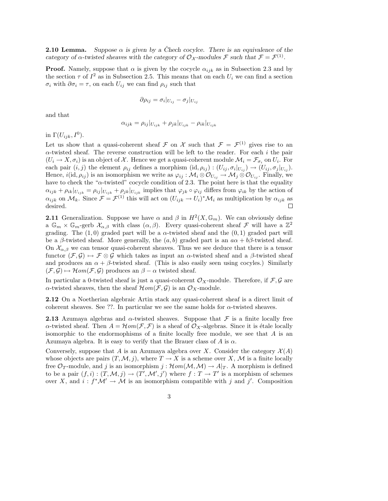**2.10 Lemma.** Suppose  $\alpha$  is given by a Chech cocylce. There is an equivalence of the category of  $\alpha$ -twisted sheaves with the category of  $\mathcal{O}_{\mathcal{X}}$ -modules  $\mathcal{F}$  such that  $\mathcal{F} = \mathcal{F}^{(1)}$ .

**Proof.** Namely, suppose that  $\alpha$  is given by the cocycle  $\alpha_{ijk}$  as in Subsection 2.3 and by the section  $\tau$  of  $I^2$  as in Subsection 2.5. This means that on each  $U_i$  we can find a section  $\sigma_i$  with  $\partial \sigma_i = \tau$ , on each  $U_{ij}$  we can find  $\rho_{ij}$  such that

$$
\partial \rho_{ij} = \sigma_i |_{U_{ij}} - \sigma_j |_{U_{ij}}
$$

and that

$$
\alpha_{ijk} = \rho_{ij}|_{U_{ijk}} + \rho_{jk}|_{U_{ijk}} - \rho_{ik}|_{U_{ijk}}
$$

in  $\Gamma(U_{ijk}, I^0)$ .

Let us show that a quasi-coherent sheaf  $\mathcal F$  on  $\mathcal X$  such that  $\mathcal F = \mathcal F^{(1)}$  gives rise to an  $\alpha$ -twisted sheaf. The reverse construction will be left to the reader. For each i the pair  $(U_i \to X, \sigma_i)$  is an object of X. Hence we get a quasi-coherent module  $\mathcal{M}_i = \mathcal{F}_{\sigma_i}$  on  $U_i$ . For each pair  $(i, j)$  the element  $\rho_{ij}$  defines a morphism  $(\text{id}, \rho_{ij}) : (U_{ij}, \sigma_i|_{U_{ij}}) \to (U_{ij}, \sigma_j|_{U_{ij}})$ . Hence,  $i(\mathrm{id}, \rho_{ij})$  is an isomorphism we write as  $\varphi_{ij} : \mathcal{M}_i \otimes \mathcal{O}_{U_{ij}} \to \mathcal{M}_j \otimes \mathcal{O}_{U_{ij}}$ . Finally, we have to check the " $\alpha$ -twisted" cocycle condition of 2.3. The point here is that the equality  $\alpha_{ijk} + \rho_{ik}|_{U_{ijk}} = \rho_{ij}|_{U_{ijk}} + \rho_{jk}|_{U_{ijk}}$  implies that  $\varphi_{jk} \circ \varphi_{ij}$  differs from  $\varphi_{ik}$  by the action of  $\alpha_{ijk}$  on  $\mathcal{M}_k$ . Since  $\mathcal{F} = \mathcal{F}^{(1)}$  this will act on  $(U_{ijk} \to U_i)^* \mathcal{M}_i$  as multiplication by  $\alpha_{ijk}$  as desired.  $\Box$ 

**2.11** Generalization. Suppose we have  $\alpha$  and  $\beta$  in  $H^2(X, \mathbb{G}_m)$ . We can obviously define a  $\mathbb{G}_m \times \mathbb{G}_m$ -gerb  $\mathcal{X}_{\alpha,\beta}$  with class  $(\alpha,\beta)$ . Every quasi-coherent sheaf  $\mathcal F$  will have a  $\mathbb{Z}^2$ grading. The  $(1,0)$  graded part will be a  $\alpha$ -twisted sheaf and the  $(0,1)$  graded part will be a  $\beta$ -twisted sheaf. More generally, the  $(a, b)$  graded part is an  $a\alpha + b\beta$ -twisted sheaf. On  $\mathcal{X}_{\alpha,\beta}$  we can tensor quasi-coherent sheaves. Thus we see deduce that there is a tensor functor  $(\mathcal{F}, \mathcal{G}) \mapsto \mathcal{F} \otimes \mathcal{G}$  which takes as input an  $\alpha$ -twisted sheaf and a  $\beta$ -twisted sheaf and produces an  $\alpha + \beta$ -twisted sheaf. (This is also easily seen using cocyles.) Similarly  $(\mathcal{F}, \mathcal{G}) \mapsto \mathcal{H}om(\mathcal{F}, \mathcal{G})$  produces an  $\beta - \alpha$  twisted sheaf.

In particular a 0-twisted sheaf is just a quasi-coherent  $\mathcal{O}_X$ -module. Therefore, if  $\mathcal{F}, \mathcal{G}$  are  $\alpha$ -twisted sheaves, then the sheaf  $\mathcal{H}om(\mathcal{F}, \mathcal{G})$  is an  $\mathcal{O}_X$ -module.

2.12 On a Noetherian algebraic Artin stack any quasi-coherent sheaf is a direct limit of coherent sheaves. See ??. In particular we see the same holds for  $\alpha$ -twisted sheaves.

**2.13** Azumaya algebras and  $\alpha$ -twisted sheaves. Suppose that  $\mathcal F$  is a finite locally free  $\alpha$ -twisted sheaf. Then  $A = \mathcal{H}om(\mathcal{F}, \mathcal{F})$  is a sheaf of  $\mathcal{O}_X$ -algebras. Since it is étale locally isomorphic to the endormophisms of a finite locally free module, we see that  $A$  is an Azumaya algebra. It is easy to verify that the Brauer class of A is  $\alpha$ .

Conversely, suppose that A is an Azumaya algebra over X. Consider the category  $\mathcal{X}(A)$ whose objects are pairs  $(T, \mathcal{M}, j)$ , where  $T \to X$  is a scheme over X, M is a finite locally free  $\mathcal{O}_T$ -module, and j is an isomorphism j:  $\mathcal{H}om(\mathcal{M},\mathcal{M}) \to A|_T$ . A morphism is defined to be a pair  $(f, i) : (T, M, j) \to (T', M', j')$  where  $f : T \to T'$  is a morphism of schemes over X, and  $i : f^* \mathcal{M}' \to \mathcal{M}$  is an isomorphism compatible with j and j'. Composition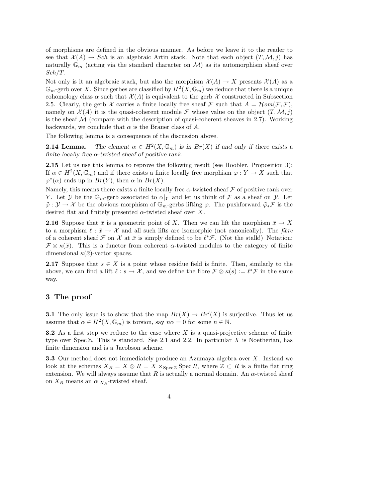of morphisms are defined in the obvious manner. As before we leave it to the reader to see that  $\mathcal{X}(A) \to Sch$  is an algebraic Artin stack. Note that each object  $(T, \mathcal{M}, j)$  has naturally  $\mathbb{G}_m$  (acting via the standard character on M) as its automorphism sheaf over  $Sch/T.$ 

Not only is it an algebraic stack, but also the morphism  $\mathcal{X}(A) \to X$  presents  $\mathcal{X}(A)$  as a  $\mathbb{G}_m$ -gerb over X. Since gerbes are classified by  $H^2(X,\mathbb{G}_m)$  we deduce that there is a unique cohomology class  $\alpha$  such that  $\mathcal{X}(A)$  is equivalent to the gerb  $\mathcal X$  constructed in Subsection 2.5. Clearly, the gerb  $\mathcal X$  carries a finite locally free sheaf  $\mathcal F$  such that  $A = \mathcal Hom(\mathcal F, \mathcal F)$ , namely on  $\mathcal{X}(A)$  it is the quasi-coherent module F whose value on the object  $(T, \mathcal{M}, i)$ is the sheaf  $M$  (compare with the description of quasi-coherent sheaves in 2.7). Working backwards, we conclude that  $\alpha$  is the Brauer class of A.

The following lemma is a consequence of the discussion above.

**2.14 Lemma.** The element  $\alpha \in H^2(X, \mathbb{G}_m)$  is in  $Br(X)$  if and only if there exists a finite locally free  $\alpha$ -twisted sheaf of positive rank.

2.15 Let us use this lemma to reprove the following result (see Hoobler, Proposition 3): If  $\alpha \in H^2(X, \mathbb{G}_m)$  and if there exists a finite locally free morphism  $\varphi: Y \to X$  such that  $\varphi^*(\alpha)$  ends up in  $Br(Y)$ , then  $\alpha$  in  $Br(X)$ .

Namely, this means there exists a finite locally free  $\alpha$ -twisted sheaf  $\mathcal F$  of positive rank over Y. Let  $\mathcal Y$  be the  $\mathbb{G}_m$ -gerb associated to  $\alpha|_Y$  and let us think of  $\mathcal F$  as a sheaf on  $\mathcal Y$ . Let  $\tilde{\varphi}: \mathcal{Y} \to \mathcal{X}$  be the obvious morphism of  $\mathbb{G}_m$ -gerbs lifting  $\varphi$ . The pushforward  $\tilde{\varphi}_* \mathcal{F}$  is the desired flat and finitely presented  $\alpha$ -twisted sheaf over X.

**2.16** Suppose that  $\bar{x}$  is a geometric point of X. Then we can lift the morphism  $\bar{x} \to X$ to a morphism  $\ell : \bar{x} \to \mathcal{X}$  and all such lifts are isomorphic (not canonically). The fibre of a coherent sheaf  $\mathcal F$  on  $\mathcal X$  at  $\bar x$  is simply defined to be  $\ell^* \mathcal F$ . (Not the stalk!) Notation:  $\mathcal{F} \otimes \kappa(\bar{x})$ . This is a functor from coherent  $\alpha$ -twisted modules to the category of finite dimensional  $\kappa(\bar{x})$ -vector spaces.

2.17 Suppose that  $s \in X$  is a point whose residue field is finite. Then, similarly to the above, we can find a lift  $\ell : s \to \mathcal{X}$ , and we define the fibre  $\mathcal{F} \otimes \kappa(s) := \ell^* \mathcal{F}$  in the same way.

#### 3 The proof

**3.1** The only issue is to show that the map  $Br(X) \to Br'(X)$  is surjective. Thus let us assume that  $\alpha \in H^2(X, \mathbb{G}_m)$  is torsion, say  $n\alpha = 0$  for some  $n \in \mathbb{N}$ .

**3.2** As a first step we reduce to the case where X is a quasi-projective scheme of finite type over  $Spec \mathbb{Z}$ . This is standard. See 2.1 and 2.2. In particular X is Noetherian, has finite dimension and is a Jacobson scheme.

3.3 Our method does not immediately produce an Azumaya algebra over X. Instead we look at the schemes  $X_R = X \otimes R = X \times_{\text{Spec } \mathbb{Z}} \text{Spec } R$ , where  $\mathbb{Z} \subset R$  is a finite flat ring extension. We will always assume that R is actually a normal domain. An  $\alpha$ -twisted sheaf on  $X_R$  means an  $\alpha|_{X_R}$ -twisted sheaf.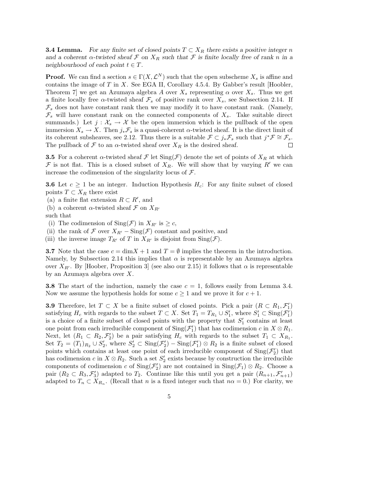**3.4 Lemma.** For any finite set of closed points  $T \subset X_R$  there exists a positive integer n and a coherent  $\alpha$ -twisted sheaf  $\mathcal F$  on  $X_R$  such that  $\mathcal F$  is finite locally free of rank n in a neighbourhood of each point  $t \in T$ .

**Proof.** We can find a section  $s \in \Gamma(X, \mathcal{L}^N)$  such that the open subscheme  $X_s$  is affine and contains the image of  $T$  in  $X$ . See EGA II, Corollary 4.5.4. By Gabber's result [Hoobler, Theorem 7 we get an Azumaya algebra A over  $X_s$  representing  $\alpha$  over  $X_s$ . Thus we get a finite locally free  $\alpha$ -twisted sheaf  $\mathcal{F}_s$  of positive rank over  $X_s$ , see Subsection 2.14. If  $\mathcal{F}_s$  does not have constant rank then we may modify it to have constant rank. (Namely,  $\mathcal{F}_s$  will have constant rank on the connected components of  $X_s$ . Take suitable direct summands.) Let  $j : \mathcal{X}_s \to \mathcal{X}$  be the open immersion which is the pullback of the open immersion  $X_s \to X$ . Then  $j_*\mathcal{F}_s$  is a quasi-coherent  $\alpha$ -twisted sheaf. It is the direct limit of its coherent subsheaves, see 2.12. Thus there is a suitable  $\mathcal{F} \subset j_* \mathcal{F}_s$  such that  $j^* \mathcal{F} \cong \mathcal{F}_s$ . The pullback of  $\mathcal F$  to an  $\alpha$ -twisted sheaf over  $X_R$  is the desired sheaf.

**3.5** For a coherent  $\alpha$ -twisted sheaf  $\mathcal F$  let  $\text{Sing}(\mathcal F)$  denote the set of points of  $X_R$  at which F is not flat. This is a closed subset of  $X_R$ . We will show that by varying R' we can increase the codimension of the singularity locus of  $\mathcal{F}$ .

**3.6** Let  $c \geq 1$  be an integer. Induction Hypothesis  $H_c$ : For any finite subset of closed points  $T \subset X_R$  there exist

- (a) a finite flat extension  $R \subset R'$ , and
- (b) a coherent  $\alpha$ -twisted sheaf  $\mathcal F$  on  $X_{R'}$
- such that
- (i) The codimension of  $\text{Sing}(\mathcal{F})$  in  $X_{R'}$  is  $\geq c$ ,
- (ii) the rank of F over  $X_{R'}$  Sing(F) constant and positive, and
- (iii) the inverse image  $T_{R'}$  of T in  $X_{R'}$  is disjoint from  $\text{Sing}(\mathcal{F})$ .

**3.7** Note that the case  $c = \dim X + 1$  and  $T = \emptyset$  implies the theorem in the introduction. Namely, by Subsection 2.14 this implies that  $\alpha$  is representable by an Azumaya algebra over  $X_{R'}$ . By [Hoober, Proposition 3] (see also our 2.15) it follows that  $\alpha$  is representable by an Azumaya algebra over X.

**3.8** The start of the induction, namely the case  $c = 1$ , follows easily from Lemma 3.4. Now we assume the hypothesis holds for some  $c \geq 1$  and we prove it for  $c + 1$ .

**3.9** Therefore, let  $T \subset X$  be a finite subset of closed points. Pick a pair  $(R \subset R_1, \mathcal{F}_1')$ satisfying  $H_c$  with regards to the subset  $T \subset X$ . Set  $T_1 = T_{R_1} \cup S'_1$ , where  $S'_1 \subset \text{Sing}(\mathcal{F}'_1)$ is a choice of a finite subset of closed points with the property that  $S'_1$  contains at least one point from each irreducible component of  $\text{Sing}(\mathcal{F}'_1)$  that has codimension c in  $X \otimes R_1$ . Next, let  $(R_1 \subset R_2, \mathcal{F}_2')$  be a pair satisfying  $H_c$  with regards to the subset  $T_1 \subset X_{R_1}$ . Set  $T_2 = (T_1)_{R_2} \cup S'_2$ , where  $S'_2 \subset \text{Sing}(\mathcal{F}'_2) - \text{Sing}(\mathcal{F}'_1) \otimes R_2$  is a finite subset of closed points which contains at least one point of each irreducible component of  $\text{Sing}(\mathcal{F}'_2)$  that has codimension c in  $X \otimes R_2$ . Such a set  $S'_2$  exists because by construction the irreducible components of codimension c of  $\text{Sing}(\mathcal{F}_2')$  are not contained in  $\text{Sing}(\mathcal{F}_1) \otimes R_2$ . Choose a pair  $(R_2 \subset R_3, \mathcal{F}_3)$  adapted to  $T_2$ . Continue like this until you get a pair  $(R_{n+1}, \mathcal{F}_{n+1}')$ adapted to  $T_n \subset X_{R_n}$ . (Recall that n is a fixed integer such that  $n\alpha = 0$ .) For clarity, we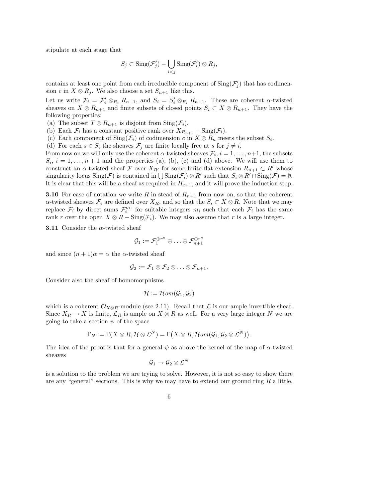stipulate at each stage that

$$
S_j \subset \text{Sing}(\mathcal{F}'_j) - \bigcup_{i < j} \text{Sing}(\mathcal{F}'_i) \otimes R_j,
$$

contains at least one point from each irreducible component of  $\text{Sing}(\mathcal{F}'_j)$  that has codimension c in  $X \otimes R_i$ . We also choose a set  $S_{n+1}$  like this.

Let us write  $\mathcal{F}_i = \mathcal{F}'_i \otimes_{R_i} R_{n+1}$ , and  $S_i = S'_i \otimes_{R_i} R_{n+1}$ . These are coherent  $\alpha$ -twisted sheaves on  $X \otimes R_{n+1}$  and finite subsets of closed points  $S_i \subset X \otimes R_{n+1}$ . They have the following properties:

- (a) The subset  $T \otimes R_{n+1}$  is disjoint from  $\text{Sing}(\mathcal{F}_i)$ .
- (b) Each  $\mathcal{F}_i$  has a constant positive rank over  $X_{R_{n+1}} \text{Sing}(\mathcal{F}_i)$ .
- (c) Each component of  $\text{Sing}(\mathcal{F}_i)$  of codimension c in  $X \otimes R_n$  meets the subset  $S_i$ .
- (d) For each  $s \in S_i$  the sheaves  $\mathcal{F}_j$  are finite locally free at s for  $j \neq i$ .

From now on we will only use the coherent  $\alpha$ -twisted sheaves  $\mathcal{F}_i$ ,  $i = 1, \ldots, n+1$ , the subsets  $S_i, i = 1, \ldots, n+1$  and the properties (a), (b), (c) and (d) above. We will use them to construct an  $\alpha$ -twisted sheaf F over  $X_{R'}$  for some finite flat extension  $R_{n+1} \subset R'$  whose singularity locus  $\text{Sing}(\mathcal{F})$  is contained in  $\bigcup \text{Sing}(\mathcal{F}_i) \otimes R'$  such that  $S_i \otimes R' \cap \text{Sing}(\mathcal{F}) = \emptyset$ . It is clear that this will be a sheaf as required in  $H_{c+1}$ , and it will prove the induction step.

**3.10** For ease of notation we write R in stead of  $R_{n+1}$  from now on, so that the coherent  $\alpha$ -twisted sheaves  $\mathcal{F}_i$  are defined over  $X_R$ , and so that the  $S_i \subset X \otimes R$ . Note that we may replace  $\mathcal{F}_i$  by direct sums  $\mathcal{F}_i^{m_i}$  for suitable integers  $m_i$  such that each  $\mathcal{F}_i$  has the same rank r over the open  $X \otimes R - \text{Sing}(\mathcal{F}_i)$ . We may also assume that r is a large integer.

**3.11** Consider the  $\alpha$ -twisted sheaf

$$
\mathcal{G}_1:=\mathcal{F}_1^{\oplus r^n}\oplus\ldots\oplus\mathcal{F}_{n+1}^{\oplus r^n}
$$

and since  $(n+1)\alpha = \alpha$  the  $\alpha$ -twisted sheaf

$$
\mathcal{G}_2:=\mathcal{F}_1\otimes\mathcal{F}_2\otimes\ldots\otimes\mathcal{F}_{n+1}.
$$

Consider also the sheaf of homomorphisms

$$
\mathcal{H}:=\mathcal{H}\mathit{om}(\mathcal{G}_1,\mathcal{G}_2)
$$

which is a coherent  $\mathcal{O}_{X\otimes R}$ -module (see 2.11). Recall that  $\mathcal L$  is our ample invertible sheaf. Since  $X_R \to X$  is finite,  $\mathcal{L}_R$  is ample on  $X \otimes R$  as well. For a very large integer N we are going to take a section  $\psi$  of the space

$$
\Gamma_N:=\Gamma(X\otimes R,{\cal H}\otimes{\cal L}^N)=\Gamma\big(X\otimes R,{\cal H}om({\cal G}_1,{\cal G}_2\otimes{\cal L}^N)\big).
$$

The idea of the proof is that for a general  $\psi$  as above the kernel of the map of  $\alpha$ -twisted sheaves

$$
\mathcal{G}_1 \to \mathcal{G}_2 \otimes \mathcal{L}^N
$$

is a solution to the problem we are trying to solve. However, it is not so easy to show there are any "general" sections. This is why we may have to extend our ground ring  $R$  a little.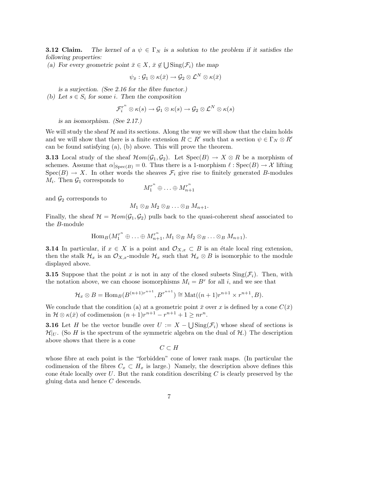**3.12 Claim.** The kernel of a  $\psi \in \Gamma_N$  is a solution to the problem if it satisfies the following properties:

(a) For every geometric point  $\bar{x} \in X$ ,  $\bar{x} \notin \bigcup \text{Sing}(\mathcal{F}_i)$  the map

$$
\psi_{\bar{x}}: \mathcal{G}_1 \otimes \kappa(\bar{x}) \to \mathcal{G}_2 \otimes \mathcal{L}^N \otimes \kappa(\bar{x})
$$

is a surjection. (See 2.16 for the fibre functor.)

(b) Let  $s \in S_i$  for some *i*. Then the composition

$$
\mathcal{F}^{r^n}_i \otimes \kappa(s) \to \mathcal{G}_1 \otimes \kappa(s) \to \mathcal{G}_2 \otimes \mathcal{L}^N \otimes \kappa(s)
$$

is an isomorphism. (See 2.17.)

We will study the sheaf  $H$  and its sections. Along the way we will show that the claim holds and we will show that there is a finite extension  $R \subset R'$  such that a section  $\psi \in \Gamma_N \otimes R'$ can be found satisfying (a), (b) above. This will prove the theorem.

**3.13** Local study of the sheaf  $\mathcal{H}om(\mathcal{G}_1, \mathcal{G}_2)$ . Let  $\text{Spec}(B) \to X \otimes R$  be a morphism of schemes. Assume that  $\alpha|_{\text{Spec}(B)} = 0$ . Thus there is a 1-morphism  $\ell : \text{Spec}(B) \to \mathcal{X}$  lifting  $Spec(B) \to X$ . In other words the sheaves  $\mathcal{F}_i$  give rise to finitely generated B-modules  $M_i$ . Then  $\mathcal{G}_1$  corresponds to

$$
M_1^{r^n} \oplus \ldots \oplus M_{n+1}^{r^n}
$$

and  $\mathcal{G}_2$  corresponds to

$$
M_1\otimes_B M_2\otimes_B \ldots \otimes_B M_{n+1}.
$$

Finally, the sheaf  $\mathcal{H} = \mathcal{H}om(\mathcal{G}_1, \mathcal{G}_2)$  pulls back to the quasi-coherent sheaf associated to the B-module

$$
\operatorname{Hom}_B(M_1^{r^n} \oplus \ldots \oplus M_{n+1}^{r^n}, M_1 \otimes_B M_2 \otimes_B \ldots \otimes_B M_{n+1}).
$$

**3.14** In particular, if  $x \in X$  is a point and  $\mathcal{O}_{X,x} \subset B$  is an étale local ring extension, then the stalk  $\mathcal{H}_x$  is an  $\mathcal{O}_{X,x}$ -module  $\mathcal{H}_x$  such that  $\mathcal{H}_x \otimes B$  is isomorphic to the module displayed above.

**3.15** Suppose that the point x is not in any of the closed subsets  $\text{Sing}(\mathcal{F}_i)$ . Then, with the notation above, we can choose isomorphisms  $M_i = B^r$  for all i, and we see that

$$
\mathcal{H}_x \otimes B = \text{Hom}_B(B^{(n+1)r^{n+1}}, B^{r^{n+1}}) \cong \text{Mat}((n+1)r^{n+1} \times r^{n+1}, B).
$$

We conclude that the condition (a) at a geometric point  $\bar{x}$  over x is defined by a cone  $C(\bar{x})$ in  $\mathcal{H} \otimes \kappa(\bar{x})$  of codimension  $(n+1)r^{n+1} - r^{n+1} + 1 \geq nr^n$ .

**3.16** Let H be the vector bundle over  $U := X - \bigcup \text{Sing}(\mathcal{F}_i)$  whose sheaf of sections is  $\mathcal{H}|_U$ . (So H is the spectrum of the symmetric algebra on the dual of  $\mathcal{H}$ .) The description above shows that there is a cone

$$
C\subset H
$$

whose fibre at each point is the "forbidden" cone of lower rank maps. (In particular the codimension of the fibres  $C_x \subset H_x$  is large.) Namely, the description above defines this cone étale locally over  $U$ . But the rank condition describing  $C$  is clearly preserved by the gluing data and hence C descends.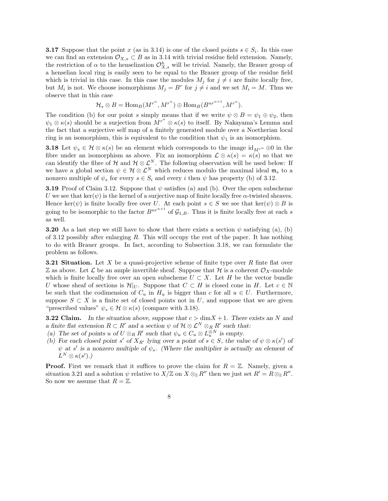**3.17** Suppose that the point x (as in 3.14) is one of the closed points  $s \in S_i$ . In this case we can find an extension  $\mathcal{O}_{X,x} \subset B$  as in 3.14 with trivial residue field extension. Namely, the restriction of  $\alpha$  to the henselization  $\mathcal{O}_{X,s}^h$  will be trivial. Namely, the Brauer group of a henselian local ring is easily seen to be equal to the Brauer group of the residue field which is trivial in this case. In this case the modules  $M_j$  for  $j \neq i$  are finite locally free, but  $M_i$  is not. We choose isomorphisms  $M_j = B^r$  for  $j \neq i$  and we set  $M_i = M$ . Thus we observe that in this case

$$
\mathcal{H}_s\otimes B=\mathrm{Hom}_B(M^{r^n},M^{r^n})\oplus\mathrm{Hom}_B(B^{nr^{n+1}},M^{r^n}).
$$

The condition (b) for our point s simply means that if we write  $\psi \otimes B = \psi_1 \oplus \psi_2$ , then  $\psi_1 \otimes \kappa(s)$  should be a surjection from  $\overline{M}^{r^n} \otimes \kappa(s)$  to itself. By Nakayama's Lemma and the fact that a surjective self map of a finitely generated module over a Noetherian local ring is an isomorphism, this is equivalent to the condition that  $\psi_1$  is an isomorphism.

**3.18** Let  $\psi_s \in \mathcal{H} \otimes \kappa(s)$  be an element which corresponds to the image  $\mathrm{id}_{M^{r^n}} \oplus 0$  in the fibre under an isomorphism as above. Fix an isomorphism  $\mathcal{L} \otimes \kappa(s) = \kappa(s)$  so that we can identify the fibre of H and  $\mathcal{H} \otimes \mathcal{L}^N$ . The following observation will be used below: If we have a global section  $\psi \in \mathcal{H} \otimes \mathcal{L}^N$  which reduces modulo the maximal ideal  $\mathfrak{m}_s$  to a nonzero multiple of  $\psi_s$  for every  $s \in S_i$  and every i then  $\psi$  has property (b) of 3.12.

**3.19** Proof of Claim 3.12. Suppose that  $\psi$  satisfies (a) and (b). Over the open subscheme U we see that ker( $\psi$ ) is the kernel of a surjective map of finite locally free  $\alpha$ -twisted sheaves. Hence ker( $\psi$ ) is finite locally free over U. At each point  $s \in S$  we see that ker( $\psi$ ) ⊗ B is going to be isomorphic to the factor  $B^{nr^{n+1}}$  of  $\mathcal{G}_{1,B}$ . Thus it is finite locally free at each s as well.

**3.20** As a last step we still have to show that there exists a section  $\psi$  satisfying (a), (b) of 3.12 possibly after enlarging  $R$ . This will occupy the rest of the paper. It has nothing to do with Brauer groups. In fact, according to Subsection 3.18, we can formulate the problem as follows.

**3.21 Situation.** Let  $X$  be a quasi-projective scheme of finite type over  $R$  finite flat over Z as above. Let L be an ample invertible sheaf. Suppose that H is a coherent  $\mathcal{O}_X$ -module which is finite locally free over an open subscheme  $U \subset X$ . Let H be the vector bundle U whose sheaf of sections is  $\mathcal{H}|_U$ . Suppose that  $C \subset H$  is closed cone in H. Let  $c \in \mathbb{N}$ be such that the codimension of  $C_u$  in  $H_u$  is bigger than c for all  $u \in U$ . Furthermore, suppose  $S \subset X$  is a finite set of closed points not in U, and suppose that we are given "prescribed values"  $\psi_s \in \mathcal{H} \otimes \kappa(s)$  (compare with 3.18).

**3.22 Claim.** In the situation above, suppose that  $c > \dim X + 1$ . There exists an N and a finite flat extension  $R \subset R'$  and a section  $\psi$  of  $\mathcal{H} \otimes \mathcal{L}^N \otimes_R R'$  such that:

- (a) The set of points u of  $U \otimes_R R'$  such that  $\psi_u \in C_u \otimes L_u^{\otimes N}$  is empty.
- (b) For each closed point s' of  $X_{R'}$  lying over a point of  $s \in S$ , the value of  $\psi \otimes \kappa(s')$  of  $\psi$  at s' is a nonzero multiple of  $\psi_s$ . (Where the multiplier is actually an element of  $L^N\otimes \kappa(s').$

**Proof.** First we remark that it suffices to prove the claim for  $R = \mathbb{Z}$ . Namely, given a situation 3.21 and a solution  $\psi$  relative to  $X/\mathbb{Z}$  on  $X \otimes_{\mathbb{Z}} R''$  then we just set  $R' = R \otimes_{\mathbb{Z}} R''$ . So now we assume that  $R = \mathbb{Z}$ .